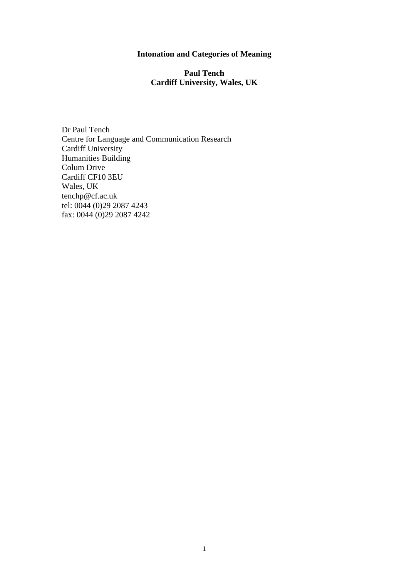# **Intonation and Categories of Meaning**

# **Paul Tench Cardiff University, Wales, UK**

Dr Paul Tench Centre for Language and Communication Research Cardiff University Humanities Building Colum Drive Cardiff CF10 3EU Wales, UK tenchp@cf.ac.uk tel: 0044 (0)29 2087 4243 fax: 0044 (0)29 2087 4242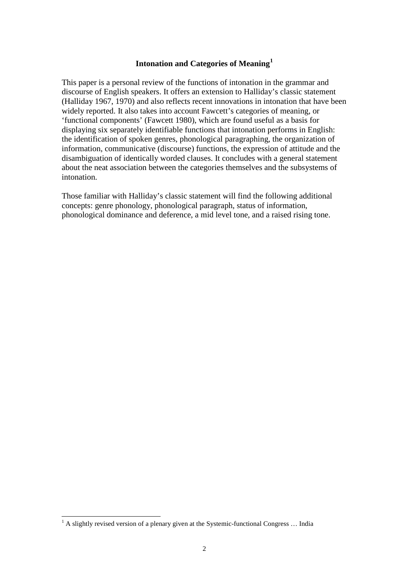### **Intonation and Categories of Meaning[1](#page-1-0)**

This paper is a personal review of the functions of intonation in the grammar and discourse of English speakers. It offers an extension to Halliday's classic statement (Halliday 1967, 1970) and also reflects recent innovations in intonation that have been widely reported. It also takes into account Fawcett's categories of meaning, or 'functional components' (Fawcett 1980), which are found useful as a basis for displaying six separately identifiable functions that intonation performs in English: the identification of spoken genres, phonological paragraphing, the organization of information, communicative (discourse) functions, the expression of attitude and the disambiguation of identically worded clauses. It concludes with a general statement about the neat association between the categories themselves and the subsystems of intonation.

Those familiar with Halliday's classic statement will find the following additional concepts: genre phonology, phonological paragraph, status of information, phonological dominance and deference, a mid level tone, and a raised rising tone.

<span id="page-1-0"></span><sup>&</sup>lt;sup>1</sup> A slightly revised version of a plenary given at the Systemic-functional Congress ... India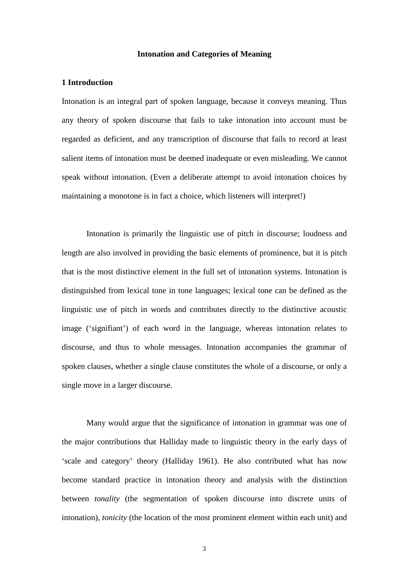### **Intonation and Categories of Meaning**

### **1 Introduction**

Intonation is an integral part of spoken language, because it conveys meaning. Thus any theory of spoken discourse that fails to take intonation into account must be regarded as deficient, and any transcription of discourse that fails to record at least salient items of intonation must be deemed inadequate or even misleading. We cannot speak without intonation. (Even a deliberate attempt to avoid intonation choices by maintaining a monotone is in fact a choice, which listeners will interpret!)

Intonation is primarily the linguistic use of pitch in discourse; loudness and length are also involved in providing the basic elements of prominence, but it is pitch that is the most distinctive element in the full set of intonation systems. Intonation is distinguished from lexical tone in tone languages; lexical tone can be defined as the linguistic use of pitch in words and contributes directly to the distinctive acoustic image ('signifiant') of each word in the language, whereas intonation relates to discourse, and thus to whole messages. Intonation accompanies the grammar of spoken clauses, whether a single clause constitutes the whole of a discourse, or only a single move in a larger discourse.

Many would argue that the significance of intonation in grammar was one of the major contributions that Halliday made to linguistic theory in the early days of 'scale and category' theory (Halliday 1961). He also contributed what has now become standard practice in intonation theory and analysis with the distinction between *tonality* (the segmentation of spoken discourse into discrete units of intonation), *tonicity* (the location of the most prominent element within each unit) and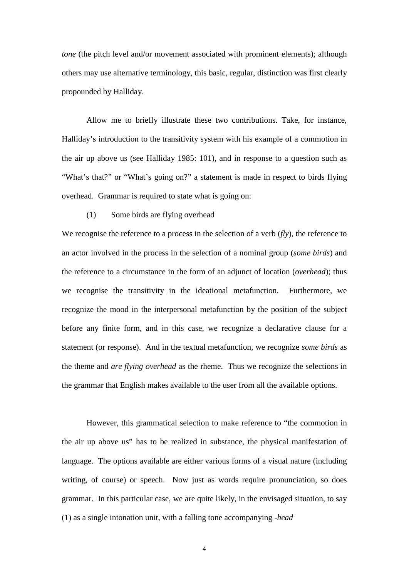*tone* (the pitch level and/or movement associated with prominent elements); although others may use alternative terminology, this basic, regular, distinction was first clearly propounded by Halliday.

Allow me to briefly illustrate these two contributions. Take, for instance, Halliday's introduction to the transitivity system with his example of a commotion in the air up above us (see Halliday 1985: 101), and in response to a question such as "What's that?" or "What's going on?" a statement is made in respect to birds flying overhead. Grammar is required to state what is going on:

# (1) Some birds are flying overhead

We recognise the reference to a process in the selection of a verb (*fly*), the reference to an actor involved in the process in the selection of a nominal group (*some birds*) and the reference to a circumstance in the form of an adjunct of location (*overhead*); thus we recognise the transitivity in the ideational metafunction. Furthermore, we recognize the mood in the interpersonal metafunction by the position of the subject before any finite form, and in this case, we recognize a declarative clause for a statement (or response). And in the textual metafunction, we recognize *some birds* as the theme and *are flying overhead* as the rheme. Thus we recognize the selections in the grammar that English makes available to the user from all the available options.

However, this grammatical selection to make reference to "the commotion in the air up above us" has to be realized in substance, the physical manifestation of language. The options available are either various forms of a visual nature (including writing, of course) or speech. Now just as words require pronunciation, so does grammar. In this particular case, we are quite likely, in the envisaged situation, to say (1) as a single intonation unit, with a falling tone accompanying *-head*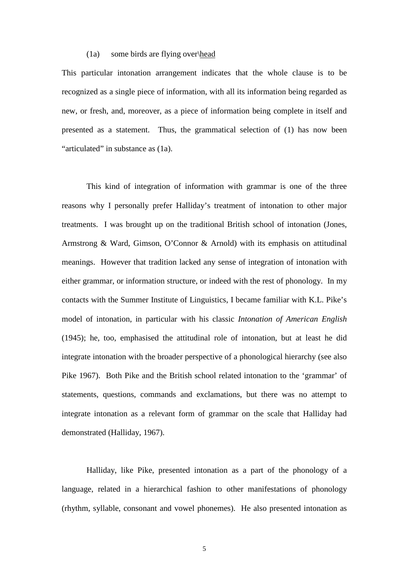#### (1a) some birds are flying over\head

This particular intonation arrangement indicates that the whole clause is to be recognized as a single piece of information, with all its information being regarded as new, or fresh, and, moreover, as a piece of information being complete in itself and presented as a statement. Thus, the grammatical selection of (1) has now been "articulated" in substance as (1a).

This kind of integration of information with grammar is one of the three reasons why I personally prefer Halliday's treatment of intonation to other major treatments. I was brought up on the traditional British school of intonation (Jones, Armstrong & Ward, Gimson, O'Connor & Arnold) with its emphasis on attitudinal meanings. However that tradition lacked any sense of integration of intonation with either grammar, or information structure, or indeed with the rest of phonology. In my contacts with the Summer Institute of Linguistics, I became familiar with K.L. Pike's model of intonation, in particular with his classic *Intonation of American English* (1945); he, too, emphasised the attitudinal role of intonation, but at least he did integrate intonation with the broader perspective of a phonological hierarchy (see also Pike 1967). Both Pike and the British school related intonation to the 'grammar' of statements, questions, commands and exclamations, but there was no attempt to integrate intonation as a relevant form of grammar on the scale that Halliday had demonstrated (Halliday, 1967).

Halliday, like Pike, presented intonation as a part of the phonology of a language, related in a hierarchical fashion to other manifestations of phonology (rhythm, syllable, consonant and vowel phonemes). He also presented intonation as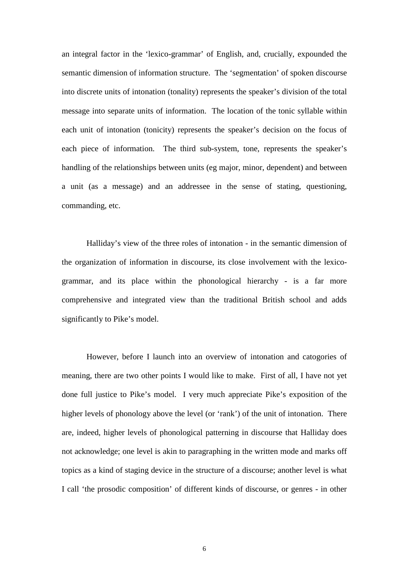an integral factor in the 'lexico-grammar' of English, and, crucially, expounded the semantic dimension of information structure. The 'segmentation' of spoken discourse into discrete units of intonation (tonality) represents the speaker's division of the total message into separate units of information. The location of the tonic syllable within each unit of intonation (tonicity) represents the speaker's decision on the focus of each piece of information. The third sub-system, tone, represents the speaker's handling of the relationships between units (eg major, minor, dependent) and between a unit (as a message) and an addressee in the sense of stating, questioning, commanding, etc.

Halliday's view of the three roles of intonation - in the semantic dimension of the organization of information in discourse, its close involvement with the lexicogrammar, and its place within the phonological hierarchy - is a far more comprehensive and integrated view than the traditional British school and adds significantly to Pike's model.

However, before I launch into an overview of intonation and catogories of meaning, there are two other points I would like to make. First of all, I have not yet done full justice to Pike's model. I very much appreciate Pike's exposition of the higher levels of phonology above the level (or 'rank') of the unit of intonation. There are, indeed, higher levels of phonological patterning in discourse that Halliday does not acknowledge; one level is akin to paragraphing in the written mode and marks off topics as a kind of staging device in the structure of a discourse; another level is what I call 'the prosodic composition' of different kinds of discourse, or genres - in other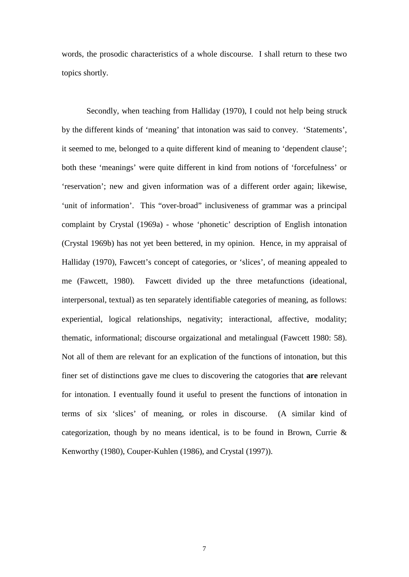words, the prosodic characteristics of a whole discourse. I shall return to these two topics shortly.

Secondly, when teaching from Halliday (1970), I could not help being struck by the different kinds of 'meaning' that intonation was said to convey. 'Statements', it seemed to me, belonged to a quite different kind of meaning to 'dependent clause'; both these 'meanings' were quite different in kind from notions of 'forcefulness' or 'reservation'; new and given information was of a different order again; likewise, 'unit of information'. This "over-broad" inclusiveness of grammar was a principal complaint by Crystal (1969a) - whose 'phonetic' description of English intonation (Crystal 1969b) has not yet been bettered, in my opinion. Hence, in my appraisal of Halliday (1970), Fawcett's concept of categories, or 'slices', of meaning appealed to me (Fawcett, 1980). Fawcett divided up the three metafunctions (ideational, interpersonal, textual) as ten separately identifiable categories of meaning, as follows: experiential, logical relationships, negativity; interactional, affective, modality; thematic, informational; discourse orgaizational and metalingual (Fawcett 1980: 58). Not all of them are relevant for an explication of the functions of intonation, but this finer set of distinctions gave me clues to discovering the catogories that **are** relevant for intonation. I eventually found it useful to present the functions of intonation in terms of six 'slices' of meaning, or roles in discourse. (A similar kind of categorization, though by no means identical, is to be found in Brown, Currie  $\&$ Kenworthy (1980), Couper-Kuhlen (1986), and Crystal (1997)).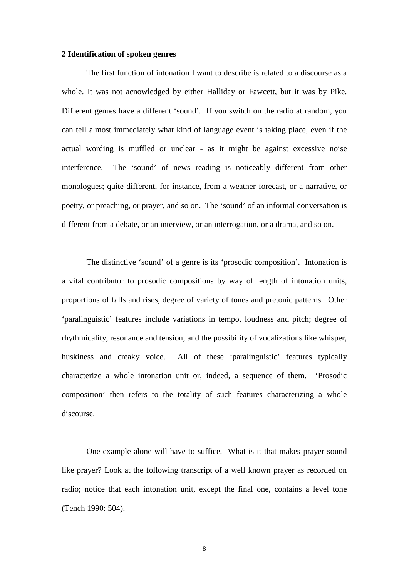### **2 Identification of spoken genres**

The first function of intonation I want to describe is related to a discourse as a whole. It was not acnowledged by either Halliday or Fawcett, but it was by Pike. Different genres have a different 'sound'. If you switch on the radio at random, you can tell almost immediately what kind of language event is taking place, even if the actual wording is muffled or unclear - as it might be against excessive noise interference. The 'sound' of news reading is noticeably different from other monologues; quite different, for instance, from a weather forecast, or a narrative, or poetry, or preaching, or prayer, and so on. The 'sound' of an informal conversation is different from a debate, or an interview, or an interrogation, or a drama, and so on.

The distinctive 'sound' of a genre is its 'prosodic composition'. Intonation is a vital contributor to prosodic compositions by way of length of intonation units, proportions of falls and rises, degree of variety of tones and pretonic patterns. Other 'paralinguistic' features include variations in tempo, loudness and pitch; degree of rhythmicality, resonance and tension; and the possibility of vocalizations like whisper, huskiness and creaky voice. All of these 'paralinguistic' features typically characterize a whole intonation unit or, indeed, a sequence of them. 'Prosodic composition' then refers to the totality of such features characterizing a whole discourse.

One example alone will have to suffice. What is it that makes prayer sound like prayer? Look at the following transcript of a well known prayer as recorded on radio; notice that each intonation unit, except the final one, contains a level tone (Tench 1990: 504).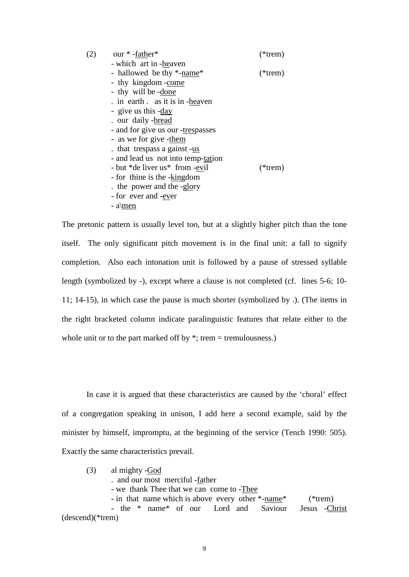| - which art in -heaven<br>- hallowed be thy *-name*<br>- thy kingdom -come<br>- thy will be -done<br>. in earth . as it is in -heaven<br>- give us this -day<br>. our daily -bread<br>- and for give us our -trespasses<br>- as we for give -them<br>that trespass a gainst -us<br>- and lead us not into temp-tation<br>- but *de liver us* from -evil<br>- for thine is the -kingdom<br>the power and the -glory<br>- for ever and -ever | (2) | our *-father* | $(*$ trem) |
|--------------------------------------------------------------------------------------------------------------------------------------------------------------------------------------------------------------------------------------------------------------------------------------------------------------------------------------------------------------------------------------------------------------------------------------------|-----|---------------|------------|
|                                                                                                                                                                                                                                                                                                                                                                                                                                            |     |               |            |
|                                                                                                                                                                                                                                                                                                                                                                                                                                            |     |               | $(*term)$  |
|                                                                                                                                                                                                                                                                                                                                                                                                                                            |     |               |            |
|                                                                                                                                                                                                                                                                                                                                                                                                                                            |     |               |            |
|                                                                                                                                                                                                                                                                                                                                                                                                                                            |     |               |            |
|                                                                                                                                                                                                                                                                                                                                                                                                                                            |     |               |            |
|                                                                                                                                                                                                                                                                                                                                                                                                                                            |     |               |            |
|                                                                                                                                                                                                                                                                                                                                                                                                                                            |     |               |            |
|                                                                                                                                                                                                                                                                                                                                                                                                                                            |     |               |            |
|                                                                                                                                                                                                                                                                                                                                                                                                                                            |     |               |            |
|                                                                                                                                                                                                                                                                                                                                                                                                                                            |     |               |            |
|                                                                                                                                                                                                                                                                                                                                                                                                                                            |     |               | $(*$ trem) |
|                                                                                                                                                                                                                                                                                                                                                                                                                                            |     |               |            |
|                                                                                                                                                                                                                                                                                                                                                                                                                                            |     |               |            |
|                                                                                                                                                                                                                                                                                                                                                                                                                                            |     |               |            |
|                                                                                                                                                                                                                                                                                                                                                                                                                                            |     | $-$ a \men    |            |

The pretonic pattern is usually level too, but at a slightly higher pitch than the tone itself. The only significant pitch movement is in the final unit: a fall to signify completion. Also each intonation unit is followed by a pause of stressed syllable length (symbolized by -), except where a clause is not completed (cf. lines 5-6; 10- 11; 14-15), in which case the pause is much shorter (symbolized by .). (The items in the right bracketed column indicate paralinguistic features that relate either to the whole unit or to the part marked off by  $*$ ; trem = tremulousness.)

In case it is argued that these characteristics are caused by the 'choral' effect of a congregation speaking in unison, I add here a second example, said by the minister by himself, impromptu, at the beginning of the service (Tench 1990: 505). Exactly the same characteristics prevail.

(3) al mighty -God . and our most merciful -father - we thank Thee that we can come to -Thee - in that name which is above every other \*-name\* (\*trem) - the \* name\* of our Lord and Saviour Jesus -Christ (descend)(\*trem)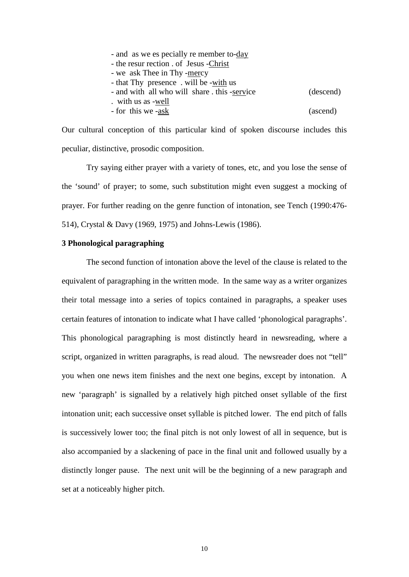| - and as we es pecially re member to-day    |           |
|---------------------------------------------|-----------|
| - the resur rection of Jesus - Christ       |           |
| - we ask Thee in Thy -mercy                 |           |
| - that Thy presence. will be -with us       |           |
| - and with all who will share this -service | (descend) |
| with us as -well                            |           |
| - for this we -ask                          | (ascend)  |
|                                             |           |

Our cultural conception of this particular kind of spoken discourse includes this peculiar, distinctive, prosodic composition.

Try saying either prayer with a variety of tones, etc, and you lose the sense of the 'sound' of prayer; to some, such substitution might even suggest a mocking of prayer. For further reading on the genre function of intonation, see Tench (1990:476- 514), Crystal & Davy (1969, 1975) and Johns-Lewis (1986).

# **3 Phonological paragraphing**

The second function of intonation above the level of the clause is related to the equivalent of paragraphing in the written mode. In the same way as a writer organizes their total message into a series of topics contained in paragraphs, a speaker uses certain features of intonation to indicate what I have called 'phonological paragraphs'. This phonological paragraphing is most distinctly heard in newsreading, where a script, organized in written paragraphs, is read aloud. The newsreader does not "tell" you when one news item finishes and the next one begins, except by intonation. A new 'paragraph' is signalled by a relatively high pitched onset syllable of the first intonation unit; each successive onset syllable is pitched lower. The end pitch of falls is successively lower too; the final pitch is not only lowest of all in sequence, but is also accompanied by a slackening of pace in the final unit and followed usually by a distinctly longer pause. The next unit will be the beginning of a new paragraph and set at a noticeably higher pitch.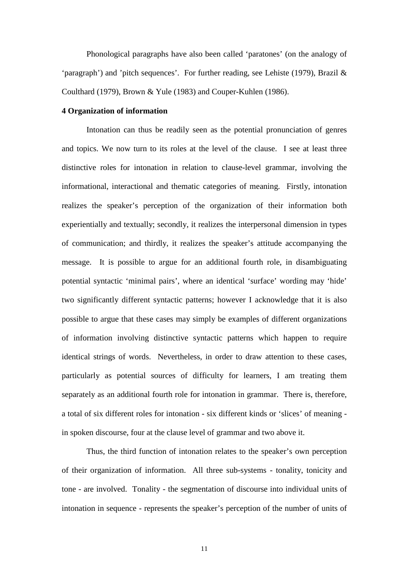Phonological paragraphs have also been called 'paratones' (on the analogy of 'paragraph') and 'pitch sequences'. For further reading, see Lehiste (1979), Brazil  $\&$ Coulthard (1979), Brown & Yule (1983) and Couper-Kuhlen (1986).

### **4 Organization of information**

Intonation can thus be readily seen as the potential pronunciation of genres and topics. We now turn to its roles at the level of the clause. I see at least three distinctive roles for intonation in relation to clause-level grammar, involving the informational, interactional and thematic categories of meaning. Firstly, intonation realizes the speaker's perception of the organization of their information both experientially and textually; secondly, it realizes the interpersonal dimension in types of communication; and thirdly, it realizes the speaker's attitude accompanying the message. It is possible to argue for an additional fourth role, in disambiguating potential syntactic 'minimal pairs', where an identical 'surface' wording may 'hide' two significantly different syntactic patterns; however I acknowledge that it is also possible to argue that these cases may simply be examples of different organizations of information involving distinctive syntactic patterns which happen to require identical strings of words. Nevertheless, in order to draw attention to these cases, particularly as potential sources of difficulty for learners, I am treating them separately as an additional fourth role for intonation in grammar. There is, therefore, a total of six different roles for intonation - six different kinds or 'slices' of meaning in spoken discourse, four at the clause level of grammar and two above it.

Thus, the third function of intonation relates to the speaker's own perception of their organization of information. All three sub-systems - tonality, tonicity and tone - are involved. Tonality - the segmentation of discourse into individual units of intonation in sequence - represents the speaker's perception of the number of units of

11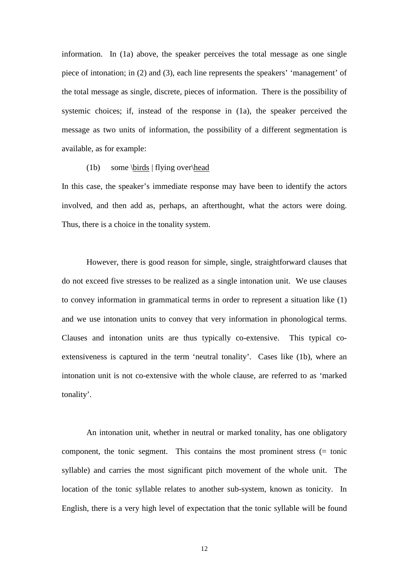information. In (1a) above, the speaker perceives the total message as one single piece of intonation; in (2) and (3), each line represents the speakers' 'management' of the total message as single, discrete, pieces of information. There is the possibility of systemic choices; if, instead of the response in (1a), the speaker perceived the message as two units of information, the possibility of a different segmentation is available, as for example:

#### (1b) some \birds | flying over\head

In this case, the speaker's immediate response may have been to identify the actors involved, and then add as, perhaps, an afterthought, what the actors were doing. Thus, there is a choice in the tonality system.

However, there is good reason for simple, single, straightforward clauses that do not exceed five stresses to be realized as a single intonation unit. We use clauses to convey information in grammatical terms in order to represent a situation like (1) and we use intonation units to convey that very information in phonological terms. Clauses and intonation units are thus typically co-extensive. This typical coextensiveness is captured in the term 'neutral tonality'. Cases like (1b), where an intonation unit is not co-extensive with the whole clause, are referred to as 'marked tonality'.

An intonation unit, whether in neutral or marked tonality, has one obligatory component, the tonic segment. This contains the most prominent stress (= tonic syllable) and carries the most significant pitch movement of the whole unit. The location of the tonic syllable relates to another sub-system, known as tonicity. In English, there is a very high level of expectation that the tonic syllable will be found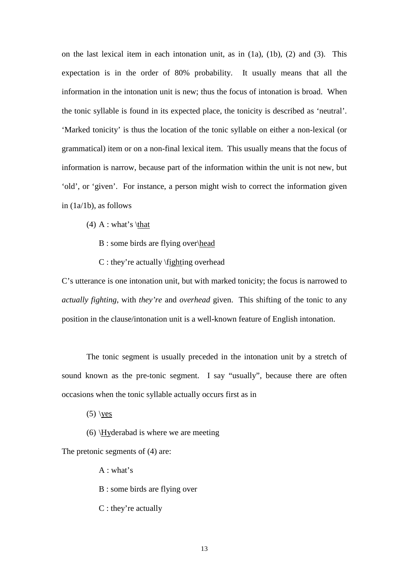on the last lexical item in each intonation unit, as in (1a), (1b), (2) and (3). This expectation is in the order of 80% probability. It usually means that all the information in the intonation unit is new; thus the focus of intonation is broad. When the tonic syllable is found in its expected place, the tonicity is described as 'neutral'. 'Marked tonicity' is thus the location of the tonic syllable on either a non-lexical (or grammatical) item or on a non-final lexical item. This usually means that the focus of information is narrow, because part of the information within the unit is not new, but 'old', or 'given'. For instance, a person might wish to correct the information given in (1a/1b), as follows

- (4) A : what's \that
	- B : some birds are flying over\head
	- C : they're actually \fighting overhead

C's utterance is one intonation unit, but with marked tonicity; the focus is narrowed to *actually fighting*, with *they're* and *overhead* given. This shifting of the tonic to any position in the clause/intonation unit is a well-known feature of English intonation.

The tonic segment is usually preceded in the intonation unit by a stretch of sound known as the pre-tonic segment. I say "usually", because there are often occasions when the tonic syllable actually occurs first as in

 $(5)$  \yes

(6) \Hyderabad is where we are meeting

The pretonic segments of (4) are:

A : what's

B : some birds are flying over

C : they're actually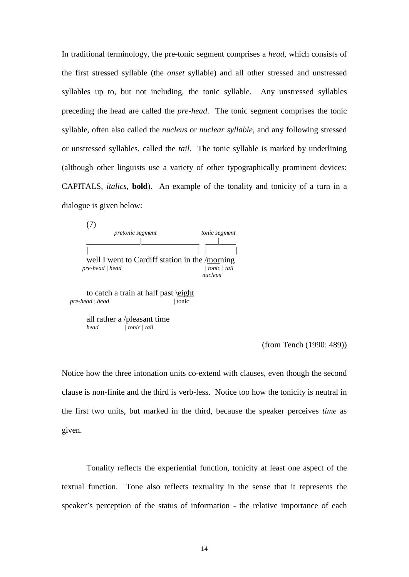In traditional terminology, the pre-tonic segment comprises a *head*, which consists of the first stressed syllable (the *onset* syllable) and all other stressed and unstressed syllables up to, but not including, the tonic syllable. Any unstressed syllables preceding the head are called the *pre-head*. The tonic segment comprises the tonic syllable, often also called the *nucleus* or *nuclear syllable*, and any following stressed or unstressed syllables, called the *tail*. The tonic syllable is marked by underlining (although other linguists use a variety of other typographically prominent devices: CAPITALS, *italics*, **bold**). An example of the tonality and tonicity of a turn in a dialogue is given below:

| pretonic segment                               | tonic segment |
|------------------------------------------------|---------------|
|                                                |               |
|                                                |               |
| well I went to Cardiff station in the /morning |               |
| pre-head   head                                | tonic   tail  |
|                                                | nucleus       |

to catch a train at half past \eight *pre-head | head* | tonic

all rather a / $\frac{\text{pleasant time}}{\text{tonic }|\text{tail}}$ *head | tonic | tail*

(from Tench (1990: 489))

Notice how the three intonation units co-extend with clauses, even though the second clause is non-finite and the third is verb-less. Notice too how the tonicity is neutral in the first two units, but marked in the third, because the speaker perceives *time* as given.

Tonality reflects the experiential function, tonicity at least one aspect of the textual function. Tone also reflects textuality in the sense that it represents the speaker's perception of the status of information - the relative importance of each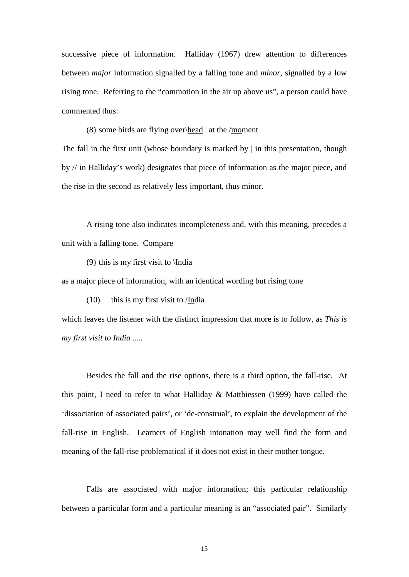successive piece of information. Halliday (1967) drew attention to differences between *major* information signalled by a falling tone and *minor*, signalled by a low rising tone. Referring to the "commotion in the air up above us", a person could have commented thus:

(8) some birds are flying over\head | at the /moment

The fall in the first unit (whose boundary is marked by  $\vert$  in this presentation, though by // in Halliday's work) designates that piece of information as the major piece, and the rise in the second as relatively less important, thus minor.

A rising tone also indicates incompleteness and, with this meaning, precedes a unit with a falling tone. Compare

(9) this is my first visit to \India

as a major piece of information, with an identical wording but rising tone

(10) this is my first visit to /India

which leaves the listener with the distinct impression that more is to follow, as *This is my first visit to India .....*

Besides the fall and the rise options, there is a third option, the fall-rise. At this point, I need to refer to what Halliday & Matthiessen (1999) have called the 'dissociation of associated pairs', or 'de-construal', to explain the development of the fall-rise in English. Learners of English intonation may well find the form and meaning of the fall-rise problematical if it does not exist in their mother tongue.

Falls are associated with major information; this particular relationship between a particular form and a particular meaning is an "associated pair". Similarly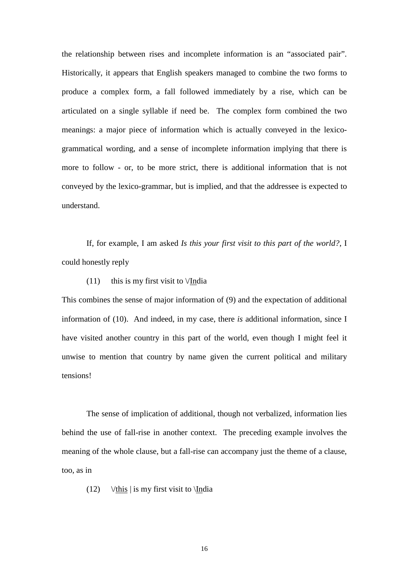the relationship between rises and incomplete information is an "associated pair". Historically, it appears that English speakers managed to combine the two forms to produce a complex form, a fall followed immediately by a rise, which can be articulated on a single syllable if need be. The complex form combined the two meanings: a major piece of information which is actually conveyed in the lexicogrammatical wording, and a sense of incomplete information implying that there is more to follow - or, to be more strict, there is additional information that is not conveyed by the lexico-grammar, but is implied, and that the addressee is expected to understand.

If, for example, I am asked *Is this your first visit to this part of the world?*, I could honestly reply

(11) this is my first visit to  $\sqrt{I}$ ndia

This combines the sense of major information of (9) and the expectation of additional information of (10). And indeed, in my case, there *is* additional information, since I have visited another country in this part of the world, even though I might feel it unwise to mention that country by name given the current political and military tensions!

The sense of implication of additional, though not verbalized, information lies behind the use of fall-rise in another context. The preceding example involves the meaning of the whole clause, but a fall-rise can accompany just the theme of a clause, too, as in

(12)  $\forall$ this | is my first visit to \India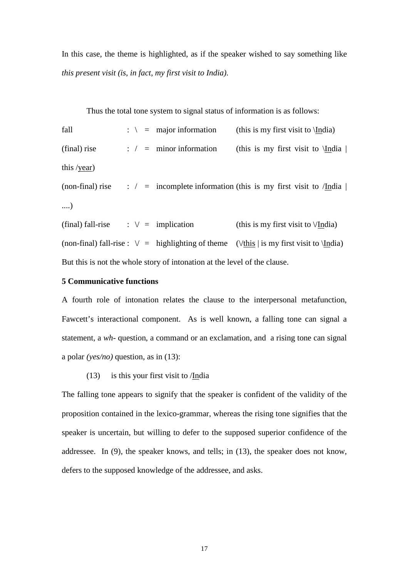In this case, the theme is highlighted, as if the speaker wished to say something like *this present visit (is, in fact, my first visit to India)*.

Thus the total tone system to signal status of information is as follows:

fall  $\therefore$   $\qquad$  = major information (this is my first visit to \India) (final) rise : / = minor information (this is my first visit to  $\langle$ India | this /year) (non-final) rise : / = incomplete information (this is my first visit to /India  $\vert$ ....) (final) fall-rise :  $\lor$  = implication (this is my first visit to  $\lor$ India) (non-final) fall-rise :  $\lor$  = highlighting of theme ( $\lor$ this | is my first visit to  $\setminus$ India)

But this is not the whole story of intonation at the level of the clause.

# **5 Communicative functions**

A fourth role of intonation relates the clause to the interpersonal metafunction, Fawcett's interactional component. As is well known, a falling tone can signal a statement, a *wh-* question, a command or an exclamation, and a rising tone can signal a polar *(yes/no)* question, as in (13):

### (13) is this your first visit to /India

The falling tone appears to signify that the speaker is confident of the validity of the proposition contained in the lexico-grammar, whereas the rising tone signifies that the speaker is uncertain, but willing to defer to the supposed superior confidence of the addressee. In (9), the speaker knows, and tells; in (13), the speaker does not know, defers to the supposed knowledge of the addressee, and asks.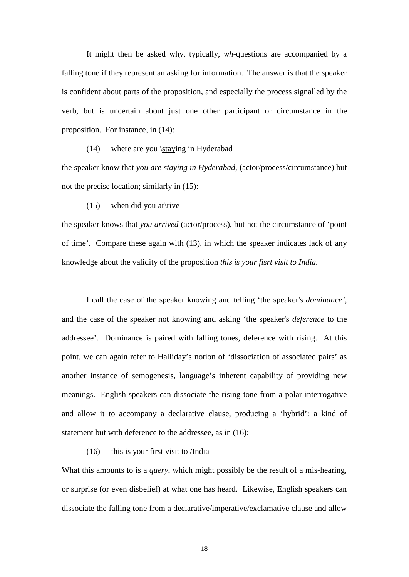It might then be asked why, typically, *wh-*questions are accompanied by a falling tone if they represent an asking for information. The answer is that the speaker is confident about parts of the proposition, and especially the process signalled by the verb, but is uncertain about just one other participant or circumstance in the proposition. For instance, in (14):

(14) where are you \staying in Hyderabad

the speaker know that *you are staying in Hyderabad*, (actor/process/circumstance) but not the precise location; similarly in (15):

 $(15)$  when did you ar $\text{trive}$ 

the speaker knows that *you arrived* (actor/process), but not the circumstance of 'point of time'. Compare these again with (13), in which the speaker indicates lack of any knowledge about the validity of the proposition *this is your fisrt visit to India.*

I call the case of the speaker knowing and telling 'the speaker's *dominance'*, and the case of the speaker not knowing and asking 'the speaker's *deference* to the addressee'. Dominance is paired with falling tones, deference with rising. At this point, we can again refer to Halliday's notion of 'dissociation of associated pairs' as another instance of semogenesis, language's inherent capability of providing new meanings. English speakers can dissociate the rising tone from a polar interrogative and allow it to accompany a declarative clause, producing a 'hybrid': a kind of statement but with deference to the addressee, as in (16):

### (16) this is your first visit to  $/India$

What this amounts to is a *query*, which might possibly be the result of a mis-hearing, or surprise (or even disbelief) at what one has heard. Likewise, English speakers can dissociate the falling tone from a declarative/imperative/exclamative clause and allow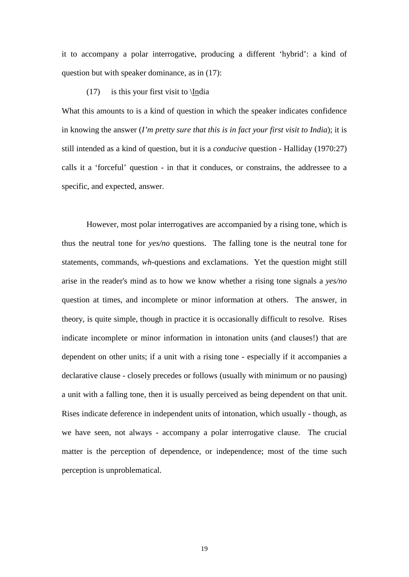it to accompany a polar interrogative, producing a different 'hybrid': a kind of question but with speaker dominance, as in (17):

(17) is this your first visit to  $\langle \text{India} \rangle$ 

What this amounts to is a kind of question in which the speaker indicates confidence in knowing the answer (*I'm pretty sure that this is in fact your first visit to India*); it is still intended as a kind of question, but it is a *conducive* question - Halliday (1970:27) calls it a 'forceful' question - in that it conduces, or constrains, the addressee to a specific, and expected, answer.

However, most polar interrogatives are accompanied by a rising tone, which is thus the neutral tone for *yes/no* questions. The falling tone is the neutral tone for statements, commands, *wh-*questions and exclamations. Yet the question might still arise in the reader's mind as to how we know whether a rising tone signals a *yes/no*  question at times, and incomplete or minor information at others. The answer, in theory, is quite simple, though in practice it is occasionally difficult to resolve. Rises indicate incomplete or minor information in intonation units (and clauses!) that are dependent on other units; if a unit with a rising tone - especially if it accompanies a declarative clause - closely precedes or follows (usually with minimum or no pausing) a unit with a falling tone, then it is usually perceived as being dependent on that unit. Rises indicate deference in independent units of intonation, which usually - though, as we have seen, not always - accompany a polar interrogative clause. The crucial matter is the perception of dependence, or independence; most of the time such perception is unproblematical.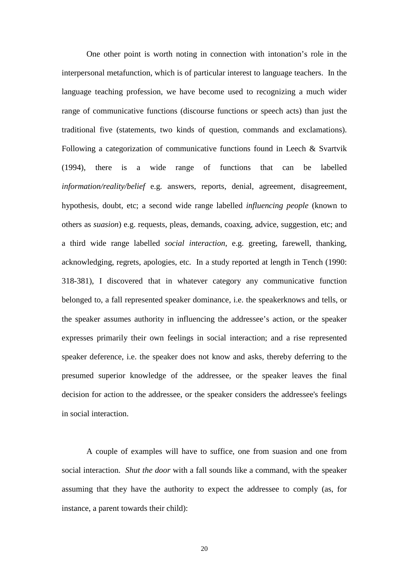One other point is worth noting in connection with intonation's role in the interpersonal metafunction, which is of particular interest to language teachers. In the language teaching profession, we have become used to recognizing a much wider range of communicative functions (discourse functions or speech acts) than just the traditional five (statements, two kinds of question, commands and exclamations). Following a categorization of communicative functions found in Leech & Svartvik (1994), there is a wide range of functions that can be labelled *information/reality/belief* e.g. answers, reports, denial, agreement, disagreement, hypothesis, doubt, etc; a second wide range labelled *influencing people* (known to others as *suasion*) e.g. requests, pleas, demands, coaxing, advice, suggestion, etc; and a third wide range labelled *social interaction*, e.g. greeting, farewell, thanking, acknowledging, regrets, apologies, etc. In a study reported at length in Tench (1990: 318-381), I discovered that in whatever category any communicative function belonged to, a fall represented speaker dominance, i.e. the speakerknows and tells, or the speaker assumes authority in influencing the addressee's action, or the speaker expresses primarily their own feelings in social interaction; and a rise represented speaker deference, i.e. the speaker does not know and asks, thereby deferring to the presumed superior knowledge of the addressee, or the speaker leaves the final decision for action to the addressee, or the speaker considers the addressee's feelings in social interaction.

A couple of examples will have to suffice, one from suasion and one from social interaction. *Shut the door* with a fall sounds like a command, with the speaker assuming that they have the authority to expect the addressee to comply (as, for instance, a parent towards their child):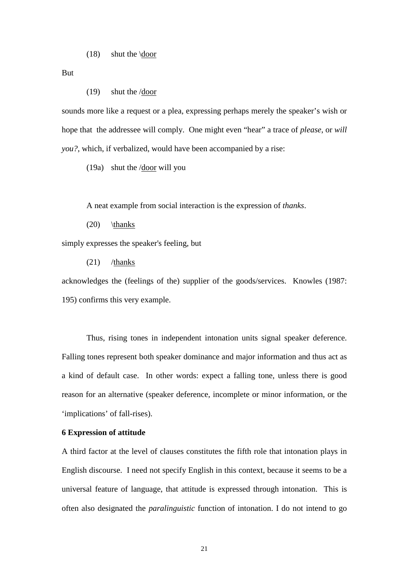But

(19) shut the /door

sounds more like a request or a plea, expressing perhaps merely the speaker's wish or hope that the addressee will comply. One might even "hear" a trace of *please*, or *will you?*, which, if verbalized, would have been accompanied by a rise:

(19a) shut the  $\sqrt{\text{door}}$  will you

A neat example from social interaction is the expression of *thanks*.

 $(20)$  \thanks

simply expresses the speaker's feeling, but

(21) /thanks

acknowledges the (feelings of the) supplier of the goods/services. Knowles (1987: 195) confirms this very example.

Thus, rising tones in independent intonation units signal speaker deference. Falling tones represent both speaker dominance and major information and thus act as a kind of default case. In other words: expect a falling tone, unless there is good reason for an alternative (speaker deference, incomplete or minor information, or the 'implications' of fall-rises).

### **6 Expression of attitude**

A third factor at the level of clauses constitutes the fifth role that intonation plays in English discourse. I need not specify English in this context, because it seems to be a universal feature of language, that attitude is expressed through intonation. This is often also designated the *paralinguistic* function of intonation. I do not intend to go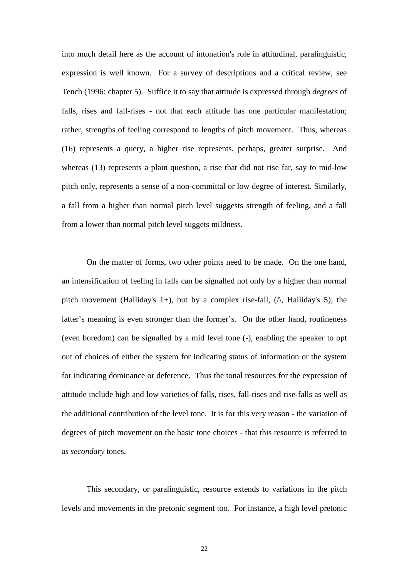into much detail here as the account of intonation's role in attitudinal, paralinguistic, expression is well known. For a survey of descriptions and a critical review, see Tench (1996: chapter 5). Suffice it to say that attitude is expressed through *degrees* of falls, rises and fall-rises - not that each attitude has one particular manifestation; rather, strengths of feeling correspond to lengths of pitch movement. Thus, whereas (16) represents a query, a higher rise represents, perhaps, greater surprise. And whereas (13) represents a plain question, a rise that did not rise far, say to mid-low pitch only, represents a sense of a non-committal or low degree of interest. Similarly, a fall from a higher than normal pitch level suggests strength of feeling, and a fall from a lower than normal pitch level suggets mildness.

On the matter of forms, two other points need to be made. On the one hand, an intensification of feeling in falls can be signalled not only by a higher than normal pitch movement (Halliday's 1+), but by a complex rise-fall,  $(\wedge)$ , Halliday's 5); the latter's meaning is even stronger than the former's. On the other hand, routineness (even boredom) can be signalled by a mid level tone (-), enabling the speaker to opt out of choices of either the system for indicating status of information or the system for indicating dominance or deference. Thus the tonal resources for the expression of attitude include high and low varieties of falls, rises, fall-rises and rise-falls as well as the additional contribution of the level tone. It is for this very reason - the variation of degrees of pitch movement on the basic tone choices - that this resource is referred to as *secondary* tones.

This secondary, or paralinguistic, resource extends to variations in the pitch levels and movements in the pretonic segment too. For instance, a high level pretonic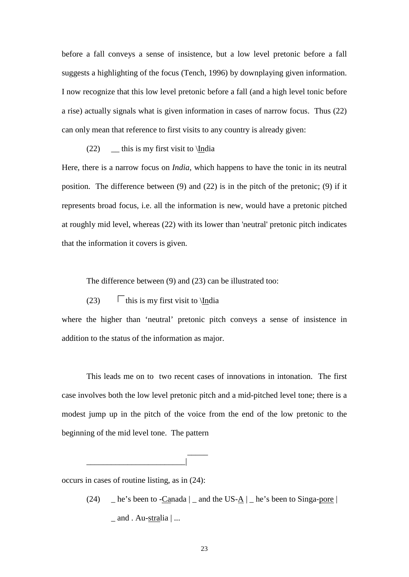before a fall conveys a sense of insistence, but a low level pretonic before a fall suggests a highlighting of the focus (Tench, 1996) by downplaying given information. I now recognize that this low level pretonic before a fall (and a high level tonic before a rise) actually signals what is given information in cases of narrow focus. Thus (22) can only mean that reference to first visits to any country is already given:

(22)  $\qquad$  this is my first visit to \India

Here, there is a narrow focus on *India*, which happens to have the tonic in its neutral position. The difference between (9) and (22) is in the pitch of the pretonic; (9) if it represents broad focus, i.e. all the information is new, would have a pretonic pitched at roughly mid level, whereas (22) with its lower than 'neutral' pretonic pitch indicates that the information it covers is given.

The difference between (9) and (23) can be illustrated too:

(23)  $\Gamma$  this is my first visit to \India

where the higher than 'neutral' pretonic pitch conveys a sense of insistence in addition to the status of the information as major.

This leads me on to two recent cases of innovations in intonation. The first case involves both the low level pretonic pitch and a mid-pitched level tone; there is a modest jump up in the pitch of the voice from the end of the low pretonic to the beginning of the mid level tone. The pattern

occurs in cases of routine listing, as in (24):

\_\_\_\_\_

 $\overline{\phantom{a}}$ 

(24)  $\Box$  he's been to -Canada  $\Box$  and the US- $\Delta$   $\Box$  he's been to Singa-pore  $\Box$  $_$  and  $.$  Au-stralia  $| \dots$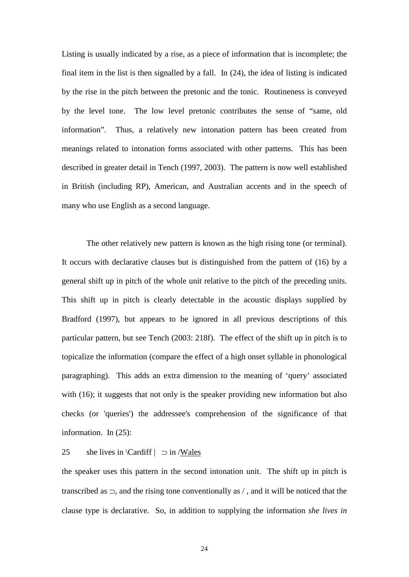Listing is usually indicated by a rise, as a piece of information that is incomplete; the final item in the list is then signalled by a fall. In (24), the idea of listing is indicated by the rise in the pitch between the pretonic and the tonic. Routineness is conveyed by the level tone. The low level pretonic contributes the sense of "same, old information". Thus, a relatively new intonation pattern has been created from meanings related to intonation forms associated with other patterns. This has been described in greater detail in Tench (1997, 2003). The pattern is now well established in British (including RP), American, and Australian accents and in the speech of many who use English as a second language.

The other relatively new pattern is known as the high rising tone (or terminal). It occurs with declarative clauses but is distinguished from the pattern of (16) by a general shift up in pitch of the whole unit relative to the pitch of the preceding units. This shift up in pitch is clearly detectable in the acoustic displays supplied by Bradford (1997), but appears to be ignored in all previous descriptions of this particular pattern, but see Tench (2003: 218f). The effect of the shift up in pitch is to topicalize the information (compare the effect of a high onset syllable in phonological paragraphing). This adds an extra dimension to the meaning of 'query' associated with (16); it suggests that not only is the speaker providing new information but also checks (or 'queries') the addressee's comprehension of the significance of that information. In (25):

# 25 she lives in  $\text{Cardiff}$   $\supset$  in /Wales

the speaker uses this pattern in the second intonation unit. The shift up in pitch is transcribed as  $\supset$ , and the rising tone conventionally as  $/$ , and it will be noticed that the clause type is declarative. So, in addition to supplying the information *she lives in*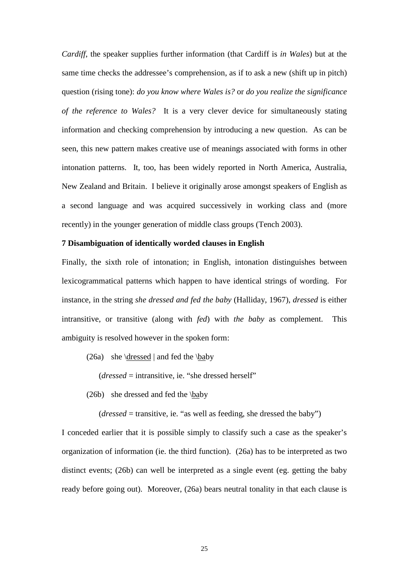*Cardiff*, the speaker supplies further information (that Cardiff is *in Wales*) but at the same time checks the addressee's comprehension, as if to ask a new (shift up in pitch) question (rising tone): *do you know where Wales is?* or *do you realize the significance of the reference to Wales?* It is a very clever device for simultaneously stating information and checking comprehension by introducing a new question. As can be seen, this new pattern makes creative use of meanings associated with forms in other intonation patterns. It, too, has been widely reported in North America, Australia, New Zealand and Britain. I believe it originally arose amongst speakers of English as a second language and was acquired successively in working class and (more recently) in the younger generation of middle class groups (Tench 2003).

## **7 Disambiguation of identically worded clauses in English**

Finally, the sixth role of intonation; in English, intonation distinguishes between lexicogrammatical patterns which happen to have identical strings of wording. For instance, in the string *she dressed and fed the baby* (Halliday, 1967), *dressed* is either intransitive, or transitive (along with *fed*) with *the baby* as complement. This ambiguity is resolved however in the spoken form:

(26a) she \dressed | and fed the \baby

(*dressed* = intransitive, ie. "she dressed herself"

(26b) she dressed and fed the \baby

(*dressed* = transitive, ie. "as well as feeding, she dressed the baby")

I conceded earlier that it is possible simply to classify such a case as the speaker's organization of information (ie. the third function). (26a) has to be interpreted as two distinct events; (26b) can well be interpreted as a single event (eg. getting the baby ready before going out). Moreover, (26a) bears neutral tonality in that each clause is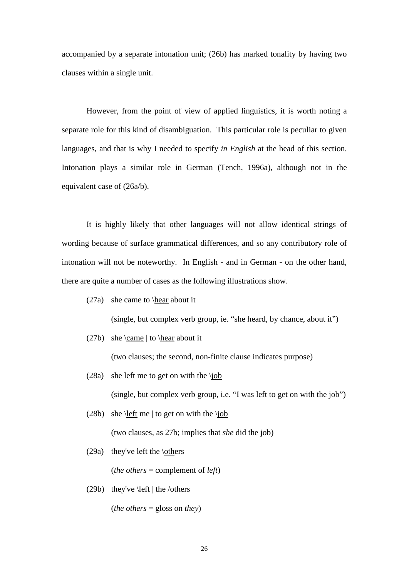accompanied by a separate intonation unit; (26b) has marked tonality by having two clauses within a single unit.

However, from the point of view of applied linguistics, it is worth noting a separate role for this kind of disambiguation. This particular role is peculiar to given languages, and that is why I needed to specify *in English* at the head of this section. Intonation plays a similar role in German (Tench, 1996a), although not in the equivalent case of (26a/b).

It is highly likely that other languages will not allow identical strings of wording because of surface grammatical differences, and so any contributory role of intonation will not be noteworthy. In English - and in German - on the other hand, there are quite a number of cases as the following illustrations show.

(27a) she came to \hear about it

(single, but complex verb group, ie. "she heard, by chance, about it")

(27b) she \came | to \hear about it

(two clauses; the second, non-finite clause indicates purpose)

(28a) she left me to get on with the \job

(single, but complex verb group, i.e. "I was left to get on with the job")

(28b) she \left me | to get on with the \job

(two clauses, as 27b; implies that *she* did the job)

(29a) they've left the  $\otimes$ 

(*the others* = complement of *left*)

(29b) they've  $\left| \frac{\text{eff}}{\text{th}} \right|$  the /others

(*the others* = gloss on *they*)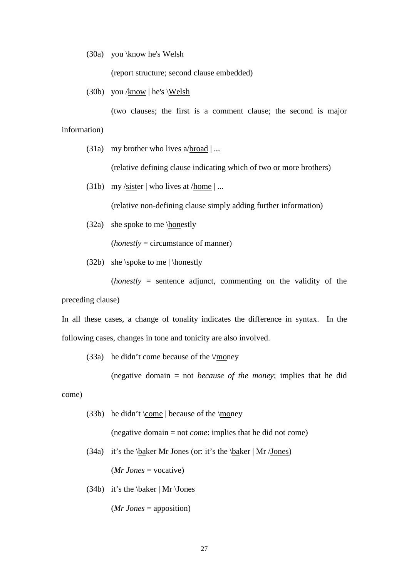(30a) you \know he's Welsh

(report structure; second clause embedded)

(30b) you /know | he's \Welsh

(two clauses; the first is a comment clause; the second is major information)

(31a) my brother who lives  $a/broad$  | ...

(relative defining clause indicating which of two or more brothers)

(31b) my /sister | who lives at /home  $| \dots$ 

(relative non-defining clause simply adding further information)

(32a) she spoke to me \honestly

(*honestly* = circumstance of manner)

(32b) she \spoke to me  $\hbox{honestly}$ 

(*honestly* = sentence adjunct, commenting on the validity of the

preceding clause)

In all these cases, a change of tonality indicates the difference in syntax. In the following cases, changes in tone and tonicity are also involved.

(33a) he didn't come because of the  $\lor$ money

(negative domain = not *because of the money*; implies that he did

come)

(33b) he didn't  $\text{come}$  because of the  $\text{money}$ 

(negative domain = not *come*: implies that he did not come)

(34a) it's the  $\backslash$ baker Mr Jones (or: it's the  $\backslash$ baker | Mr /Jones)

(*Mr Jones* = vocative)

(34b) it's the  $\backslash$ baker | Mr  $\backslash$ Jones

(*Mr Jones* = apposition)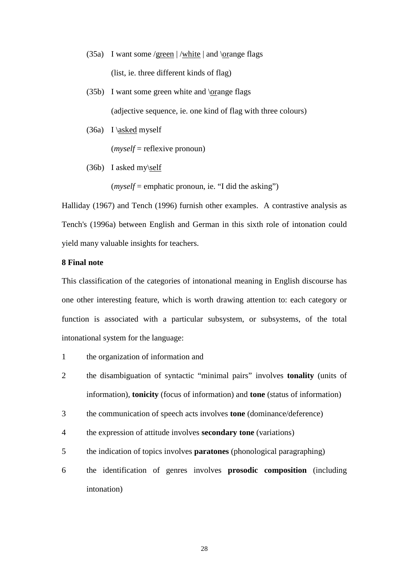- (35a) I want some /green  $|\text{/white}|$  and  $\text{/orange}$  flags (list, ie. three different kinds of flag)
- (35b) I want some green white and \orange flags (adjective sequence, ie. one kind of flag with three colours)
- (36a) I \asked myself

(*myself* = reflexive pronoun)

(36b) I asked my\self

 $(myself = \text{emphatic pronoun}, i.e. "I did the asking")$ 

Halliday (1967) and Tench (1996) furnish other examples. A contrastive analysis as Tench's (1996a) between English and German in this sixth role of intonation could yield many valuable insights for teachers.

# **8 Final note**

This classification of the categories of intonational meaning in English discourse has one other interesting feature, which is worth drawing attention to: each category or function is associated with a particular subsystem, or subsystems, of the total intonational system for the language:

- 1 the organization of information and
- 2 the disambiguation of syntactic "minimal pairs" involves **tonality** (units of information), **tonicity** (focus of information) and **tone** (status of information)
- 3 the communication of speech acts involves **tone** (dominance/deference)
- 4 the expression of attitude involves **secondary tone** (variations)
- 5 the indication of topics involves **paratones** (phonological paragraphing)
- 6 the identification of genres involves **prosodic composition** (including intonation)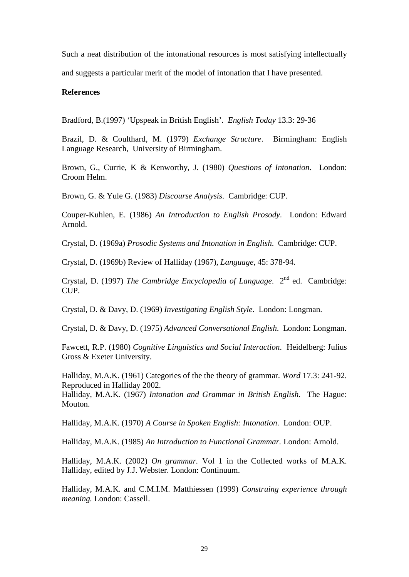Such a neat distribution of the intonational resources is most satisfying intellectually

and suggests a particular merit of the model of intonation that I have presented.

# **References**

Bradford, B.(1997) 'Upspeak in British English'. *English Today* 13.3: 29-36

Brazil, D. & Coulthard, M. (1979) *Exchange Structure*. Birmingham: English Language Research, University of Birmingham.

Brown, G., Currie, K & Kenworthy, J. (1980) *Questions of Intonation*. London: Croom Helm.

Brown, G. & Yule G. (1983) *Discourse Analysis*. Cambridge: CUP.

Couper-Kuhlen, E. (1986) *An Introduction to English Prosody*. London: Edward Arnold.

Crystal, D. (1969a) *Prosodic Systems and Intonation in English*. Cambridge: CUP.

Crystal, D. (1969b) Review of Halliday (1967), *Language,* 45: 378-94.

Crystal, D. (1997) *The Cambridge Encyclopedia of Language*. 2<sup>nd</sup> ed. Cambridge: CUP.

Crystal, D. & Davy, D. (1969) *Investigating English Style*. London: Longman.

Crystal, D. & Davy, D. (1975) *Advanced Conversational English*. London: Longman.

Fawcett, R.P. (1980) *Cognitive Linguistics and Social Interaction*. Heidelberg: Julius Gross & Exeter University.

Halliday, M.A.K. (1961) Categories of the the theory of grammar. *Word* 17.3: 241-92. Reproduced in Halliday 2002.

Halliday, M.A.K. (1967) *Intonation and Grammar in British English*. The Hague: Mouton.

Halliday, M.A.K. (1970) *A Course in Spoken English: Intonation*. London: OUP.

Halliday, M.A.K. (1985) *An Introduction to Functional Grammar.* London: Arnold.

Halliday, M.A.K. (2002) *On grammar.* Vol 1 in the Collected works of M.A.K. Halliday, edited by J.J. Webster. London: Continuum.

Halliday, M.A.K. and C.M.I.M. Matthiessen (1999) *Construing experience through meaning.* London: Cassell.